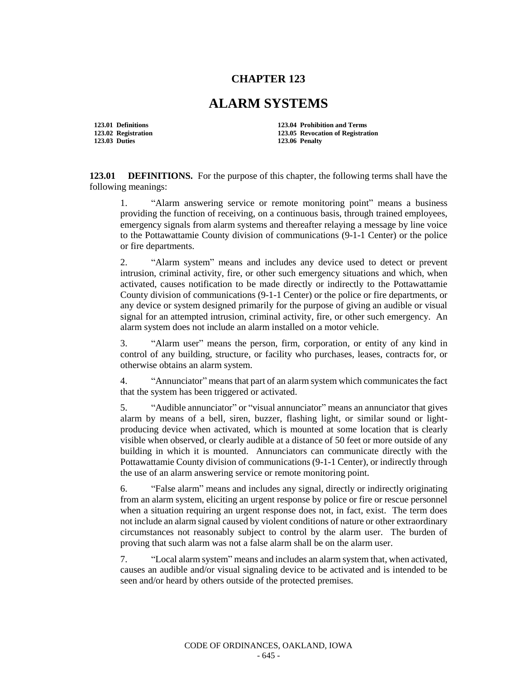## **CHAPTER 123**

## **ALARM SYSTEMS**

**123.01 Definitions 123.04 Prohibition and Terms 123.02 Registration 123.05 Revocation of Registration 123.03 Duties 123.06 Penalty**

**123.01 DEFINITIONS.** For the purpose of this chapter, the following terms shall have the following meanings:

1. "Alarm answering service or remote monitoring point" means a business providing the function of receiving, on a continuous basis, through trained employees, emergency signals from alarm systems and thereafter relaying a message by line voice to the Pottawattamie County division of communications (9-1-1 Center) or the police or fire departments.

2. "Alarm system" means and includes any device used to detect or prevent intrusion, criminal activity, fire, or other such emergency situations and which, when activated, causes notification to be made directly or indirectly to the Pottawattamie County division of communications (9-1-1 Center) or the police or fire departments, or any device or system designed primarily for the purpose of giving an audible or visual signal for an attempted intrusion, criminal activity, fire, or other such emergency. An alarm system does not include an alarm installed on a motor vehicle.

3. "Alarm user" means the person, firm, corporation, or entity of any kind in control of any building, structure, or facility who purchases, leases, contracts for, or otherwise obtains an alarm system.

4. "Annunciator" means that part of an alarm system which communicates the fact that the system has been triggered or activated.

5. "Audible annunciator" or "visual annunciator" means an annunciator that gives alarm by means of a bell, siren, buzzer, flashing light, or similar sound or lightproducing device when activated, which is mounted at some location that is clearly visible when observed, or clearly audible at a distance of 50 feet or more outside of any building in which it is mounted. Annunciators can communicate directly with the Pottawattamie County division of communications (9-1-1 Center), or indirectly through the use of an alarm answering service or remote monitoring point.

6. "False alarm" means and includes any signal, directly or indirectly originating from an alarm system, eliciting an urgent response by police or fire or rescue personnel when a situation requiring an urgent response does not, in fact, exist. The term does not include an alarm signal caused by violent conditions of nature or other extraordinary circumstances not reasonably subject to control by the alarm user. The burden of proving that such alarm was not a false alarm shall be on the alarm user.

7. "Local alarm system" means and includes an alarm system that, when activated, causes an audible and/or visual signaling device to be activated and is intended to be seen and/or heard by others outside of the protected premises.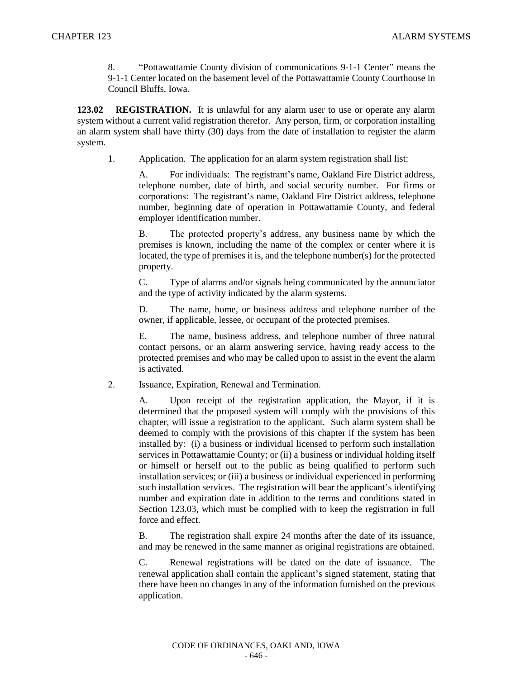8. "Pottawattamie County division of communications 9-1-1 Center" means the 9-1-1 Center located on the basement level of the Pottawattamie County Courthouse in Council Bluffs, Iowa.

**123.02 REGISTRATION.** It is unlawful for any alarm user to use or operate any alarm system without a current valid registration therefor. Any person, firm, or corporation installing an alarm system shall have thirty (30) days from the date of installation to register the alarm system.

1. Application. The application for an alarm system registration shall list:

A. For individuals: The registrant's name, Oakland Fire District address, telephone number, date of birth, and social security number. For firms or corporations: The registrant's name, Oakland Fire District address, telephone number, beginning date of operation in Pottawattamie County, and federal employer identification number.

B. The protected property's address, any business name by which the premises is known, including the name of the complex or center where it is located, the type of premises it is, and the telephone number(s) for the protected property.

C. Type of alarms and/or signals being communicated by the annunciator and the type of activity indicated by the alarm systems.

D. The name, home, or business address and telephone number of the owner, if applicable, lessee, or occupant of the protected premises.

E. The name, business address, and telephone number of three natural contact persons, or an alarm answering service, having ready access to the protected premises and who may be called upon to assist in the event the alarm is activated.

2. Issuance, Expiration, Renewal and Termination.

A. Upon receipt of the registration application, the Mayor, if it is determined that the proposed system will comply with the provisions of this chapter, will issue a registration to the applicant. Such alarm system shall be deemed to comply with the provisions of this chapter if the system has been installed by: (i) a business or individual licensed to perform such installation services in Pottawattamie County; or (ii) a business or individual holding itself or himself or herself out to the public as being qualified to perform such installation services; or (iii) a business or individual experienced in performing such installation services. The registration will bear the applicant's identifying number and expiration date in addition to the terms and conditions stated in Section 123.03, which must be complied with to keep the registration in full force and effect.

B. The registration shall expire 24 months after the date of its issuance, and may be renewed in the same manner as original registrations are obtained.

C. Renewal registrations will be dated on the date of issuance. The renewal application shall contain the applicant's signed statement, stating that there have been no changes in any of the information furnished on the previous application.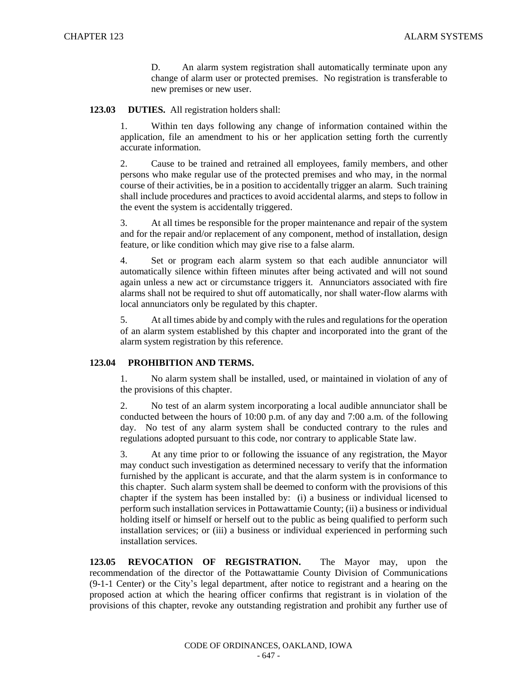D. An alarm system registration shall automatically terminate upon any change of alarm user or protected premises. No registration is transferable to new premises or new user.

## **123.03 DUTIES.** All registration holders shall:

1. Within ten days following any change of information contained within the application, file an amendment to his or her application setting forth the currently accurate information.

2. Cause to be trained and retrained all employees, family members, and other persons who make regular use of the protected premises and who may, in the normal course of their activities, be in a position to accidentally trigger an alarm. Such training shall include procedures and practices to avoid accidental alarms, and steps to follow in the event the system is accidentally triggered.

3. At all times be responsible for the proper maintenance and repair of the system and for the repair and/or replacement of any component, method of installation, design feature, or like condition which may give rise to a false alarm.

4. Set or program each alarm system so that each audible annunciator will automatically silence within fifteen minutes after being activated and will not sound again unless a new act or circumstance triggers it. Annunciators associated with fire alarms shall not be required to shut off automatically, nor shall water-flow alarms with local annunciators only be regulated by this chapter.

5. At all times abide by and comply with the rules and regulations for the operation of an alarm system established by this chapter and incorporated into the grant of the alarm system registration by this reference.

## **123.04 PROHIBITION AND TERMS.**

1. No alarm system shall be installed, used, or maintained in violation of any of the provisions of this chapter.

2. No test of an alarm system incorporating a local audible annunciator shall be conducted between the hours of 10:00 p.m. of any day and 7:00 a.m. of the following day. No test of any alarm system shall be conducted contrary to the rules and regulations adopted pursuant to this code, nor contrary to applicable State law.

3. At any time prior to or following the issuance of any registration, the Mayor may conduct such investigation as determined necessary to verify that the information furnished by the applicant is accurate, and that the alarm system is in conformance to this chapter. Such alarm system shall be deemed to conform with the provisions of this chapter if the system has been installed by: (i) a business or individual licensed to perform such installation services in Pottawattamie County; (ii) a business or individual holding itself or himself or herself out to the public as being qualified to perform such installation services; or (iii) a business or individual experienced in performing such installation services.

**123.05 REVOCATION OF REGISTRATION.** The Mayor may, upon the recommendation of the director of the Pottawattamie County Division of Communications (9-1-1 Center) or the City's legal department, after notice to registrant and a hearing on the proposed action at which the hearing officer confirms that registrant is in violation of the provisions of this chapter, revoke any outstanding registration and prohibit any further use of